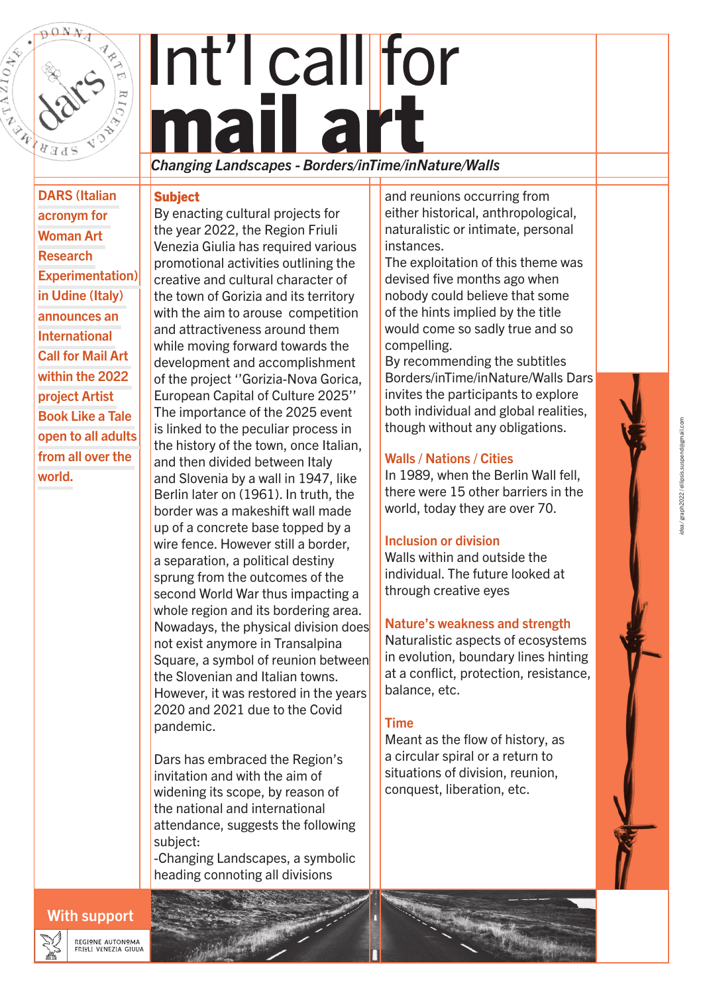

# Int'l call for mail

DARS (Italian acronym for Woman Art Research Experimentation) in Udine (Italy) announces an International Call for Mail Art within the 2022 project Artist Book Like a Tale open to all adults from all over the world.

## *Changing Landscapes - Borders/inTime/inNature/Walls*

#### **Subject**

By enacting cultural projects for the year 2022, the Region Friuli Venezia Giulia has required various promotional activities outlining the creative and cultural character of the town of Gorizia and its territory with the aim to arouse competition and attractiveness around them while moving forward towards the development and accomplishment of the project ''Gorizia-Nova Gorica, European Capital of Culture 2025'' The importance of the 2025 event is linked to the peculiar process in the history of the town, once Italian, and then divided between Italy and Slovenia by a wall in 1947, like Berlin later on (1961). In truth, the border was a makeshift wall made up of a concrete base topped by a wire fence. However still a border, a separation, a political destiny sprung from the outcomes of the second World War thus impacting a whole region and its bordering area. Nowadays, the physical division does not exist anymore in Transalpina Square, a symbol of reunion between the Slovenian and Italian towns. However, it was restored in the years 2020 and 2021 due to the Covid pandemic.

Dars has embraced the Region's invitation and with the aim of widening its scope, by reason of the national and international attendance, suggests the following subject:

-Changing Landscapes, a symbolic heading connoting all divisions

and reunions occurring from either historical, anthropological, naturalistic or intimate, personal instances.

The exploitation of this theme was devised five months ago when nobody could believe that some of the hints implied by the title would come so sadly true and so compelling.

By recommending the subtitles Borders/inTime/inNature/Walls Dars invites the participants to explore both individual and global realities, though without any obligations.

#### Walls / Nations / Cities

In 1989, when the Berlin Wall fell, there were 15 other barriers in the world, today they are over 70.

#### Inclusion or division

Walls within and outside the individual. The future looked at through creative eyes

#### Nature's weakness and strength

Naturalistic aspects of ecosystems in evolution, boundary lines hinting at a conflict, protection, resistance, balance, etc.

#### Time

Meant as the flow of history, as a circular spiral or a return to situations of division, reunion, conquest, liberation, etc.



With support